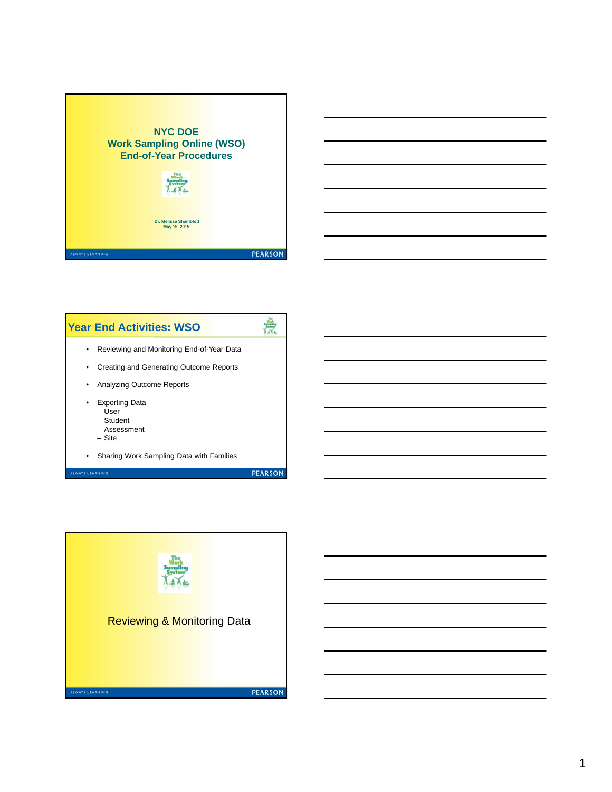





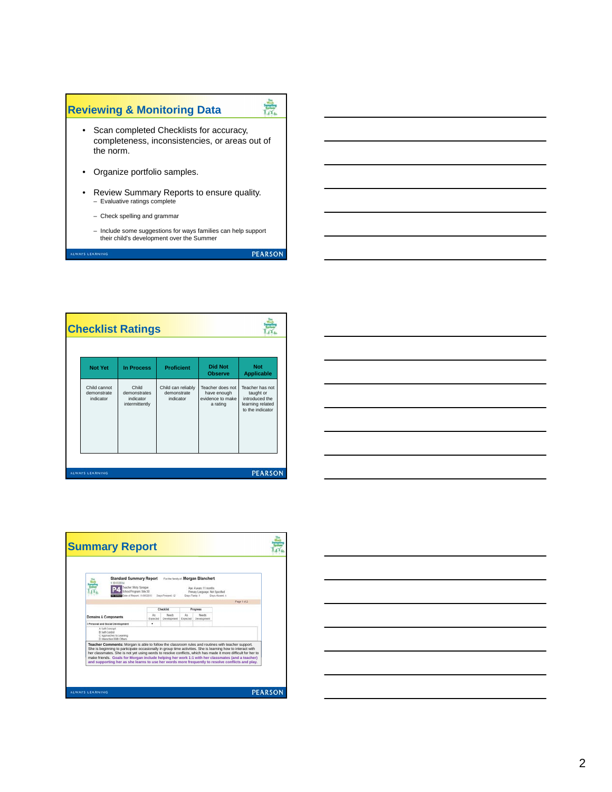

|                                          | <b>Checklist Ratings</b>                             |                                                |                                                                 |                                                                                        |
|------------------------------------------|------------------------------------------------------|------------------------------------------------|-----------------------------------------------------------------|----------------------------------------------------------------------------------------|
| <b>Not Yet</b>                           | <b>In Process</b>                                    | <b>Proficient</b>                              | <b>Did Not</b><br><b>Observe</b>                                | <b>Not</b><br><b>Applicable</b>                                                        |
| Child cannot<br>demonstrate<br>indicator | Child<br>demonstrates<br>indicator<br>intermittently | Child can reliably<br>demonstrate<br>indicator | Teacher does not<br>have enough<br>evidence to make<br>a rating | Teacher has not<br>taught or<br>introduced the<br>learning related<br>to the indicator |
| <b>ALWAYS LEARNING</b>                   |                                                      |                                                |                                                                 | <b>PEARSON</b>                                                                         |



| <b>Standard Summary Report</b><br>120130014<br>Teacher: Mishi Sprague                                                                                                                                                                                                                                                                                                                                                                                                                                     | School Program: Site 30<br>ate of Report: 11/06/2013   Davs Present: 12 |                      | Davs Tardy 1 | For the family of Morgan Blanchert<br>Age 4 years 11 months<br>Prenary Language: Not Specified | Days Absent 1                                                                                                |
|-----------------------------------------------------------------------------------------------------------------------------------------------------------------------------------------------------------------------------------------------------------------------------------------------------------------------------------------------------------------------------------------------------------------------------------------------------------------------------------------------------------|-------------------------------------------------------------------------|----------------------|--------------|------------------------------------------------------------------------------------------------|--------------------------------------------------------------------------------------------------------------|
|                                                                                                                                                                                                                                                                                                                                                                                                                                                                                                           |                                                                         |                      |              |                                                                                                | Page 1 of 2                                                                                                  |
|                                                                                                                                                                                                                                                                                                                                                                                                                                                                                                           |                                                                         | Checkfield           |              | Progress                                                                                       |                                                                                                              |
| <b>Domains &amp; Components</b>                                                                                                                                                                                                                                                                                                                                                                                                                                                                           | a.<br>Expected 1                                                        | Newby<br>Development | At           | Needs<br>Expected Development                                                                  |                                                                                                              |
| I Personal and Social Development                                                                                                                                                                                                                                                                                                                                                                                                                                                                         | ٠                                                                       |                      |              |                                                                                                |                                                                                                              |
| <b>B. Said Combrid</b><br>C Approaches to Examing<br>D Interaction With Others<br>Teacher Comments: Morgan is able to follow the classroom rules and routines with teacher support.<br>She is beginning to participate occasionally in group time activities. She is learning how to interact with<br>make friends. Goals for Morgan include helping her work 1:1 with her classmates (and a teacher)<br>and supporting her as she learns to use her words more frequently to resolve conflicts and play. |                                                                         |                      |              |                                                                                                | her classmates. She is not vet using words to resolve conflicts, which has made it more difficult for her to |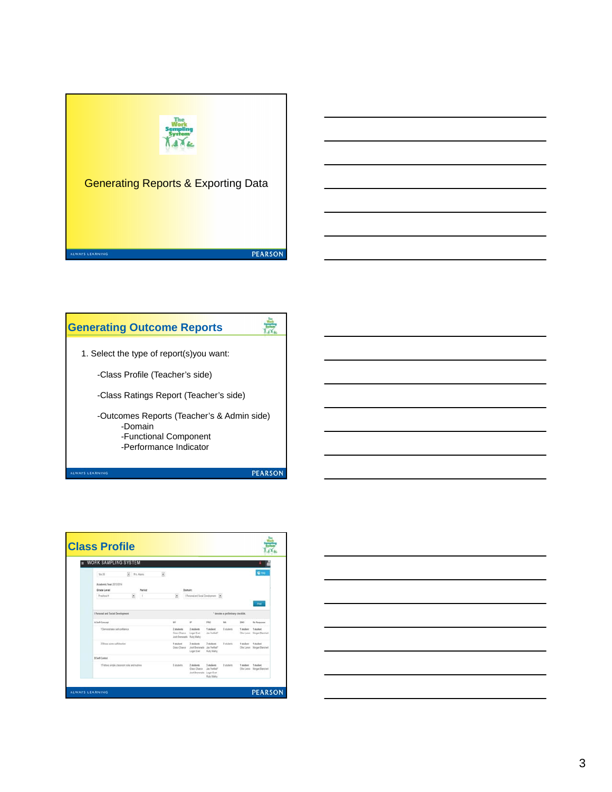

## 意 **Generating Outcome Reports**  1. Select the type of report(s)you want: -Class Profile (Teacher's side) -Class Ratings Report (Teacher's side) -Outcomes Reports (Teacher's & Admin side) -Domain -Functional Component -Performance Indicator **PEARSON** LWAYS LEARNING



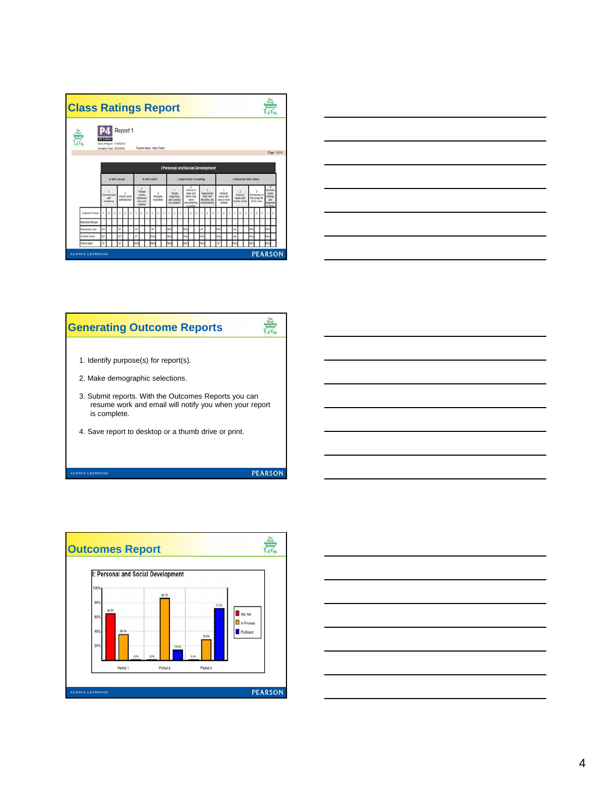| <b>Class Ratings Report</b> |                                                                              |                |  |   |                                  |          |   |                                                               |  |                                                   |                             |  |  |                                                           |  |  |                                                                                |  |                                                     |            |                            |  |                                                   |  |    |                                             |  |  |                                |                 |             |                                                                          |  |
|-----------------------------|------------------------------------------------------------------------------|----------------|--|---|----------------------------------|----------|---|---------------------------------------------------------------|--|---------------------------------------------------|-----------------------------|--|--|-----------------------------------------------------------|--|--|--------------------------------------------------------------------------------|--|-----------------------------------------------------|------------|----------------------------|--|---------------------------------------------------|--|----|---------------------------------------------|--|--|--------------------------------|-----------------|-------------|--------------------------------------------------------------------------|--|
| ۳                           | <b>Sth Edition</b><br>Date of Report: 11/06/2013<br>Academic Vear: 2013/2014 |                |  |   |                                  | Report 1 |   |                                                               |  | Teacher Name: Mary Parker                         |                             |  |  |                                                           |  |  |                                                                                |  |                                                     |            |                            |  |                                                   |  |    |                                             |  |  |                                |                 | Page 1 of 6 |                                                                          |  |
|                             | I Personal and Social Development                                            |                |  |   |                                  |          |   |                                                               |  |                                                   |                             |  |  |                                                           |  |  |                                                                                |  |                                                     |            |                            |  |                                                   |  |    |                                             |  |  |                                |                 |             |                                                                          |  |
|                             |                                                                              | A Self-Concept |  |   |                                  |          |   |                                                               |  | <b>B Self Control</b><br>C Approaches to Learning |                             |  |  |                                                           |  |  |                                                                                |  |                                                     |            | 23 Interaction With Others |  |                                                   |  |    |                                             |  |  |                                |                 |             |                                                                          |  |
|                             | <b>Cemonstrates</b><br>tef.<br>contidence                                    |                |  |   | Shows some<br><b>MF-draction</b> |          |   | Follows<br>single<br>classroom<br>rules and<br><b>Hodines</b> |  |                                                   | 2<br>Manages<br>transferris |  |  | <b>Shows</b><br>eagement<br>and curiosity<br>as a hearter |  |  | Athends 31<br>tests and<br>seeks help<br>when<br>encountering<br>a newbolished |  | Approaches<br>fiestidity and<br><b>Puerfluonnes</b> | tasks with |                            |  | Ideads<br>easily with<br>tine or more<br>children |  |    | Interacts<br>easily with<br>familiar adults |  |  | the group life<br>of the class | Participates in |             | <b>Institut</b><br>some<br><b>feelings</b><br>and<br>reports<br>to those |  |
|                             |                                                                              |                |  |   |                                  |          |   |                                                               |  |                                                   |                             |  |  |                                                           |  |  |                                                                                |  |                                                     |            |                            |  |                                                   |  |    |                                             |  |  |                                |                 |             |                                                                          |  |
| Colection Period            |                                                                              |                |  |   |                                  |          |   |                                                               |  |                                                   |                             |  |  |                                                           |  |  |                                                                                |  |                                                     |            |                            |  |                                                   |  |    |                                             |  |  |                                |                 |             |                                                                          |  |
| <b>Blanchert Morgan</b>     |                                                                              |                |  |   |                                  |          |   |                                                               |  |                                                   |                             |  |  |                                                           |  |  |                                                                                |  |                                                     |            |                            |  |                                                   |  |    |                                             |  |  |                                |                 |             |                                                                          |  |
| Erenanado Josh              | W                                                                            |                |  | ė |                                  |          | × |                                                               |  | ×                                                 |                             |  |  |                                                           |  |  |                                                                                |  | ×                                                   |            |                            |  |                                                   |  | NA |                                             |  |  |                                |                 |             |                                                                          |  |
| Charlos Grace               | w                                                                            |                |  | w |                                  |          | × |                                                               |  |                                                   |                             |  |  |                                                           |  |  |                                                                                |  |                                                     |            |                            |  |                                                   |  | w  |                                             |  |  |                                |                 |             |                                                                          |  |



## $\frac{1}{\sqrt{2}}$ **Generating Outcome Reports**  1. Identify purpose(s) for report(s). 2. Make demographic selections. 3. Submit reports. With the Outcomes Reports you can resume work and email will notify you when your report is complete. 4. Save report to desktop or a thumb drive or print. **PEARSON ILWAYS LEARNING**



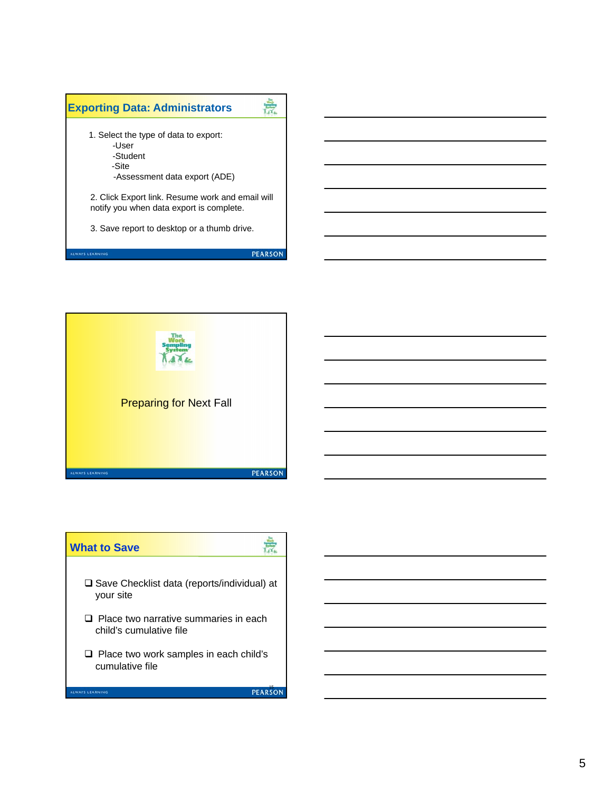



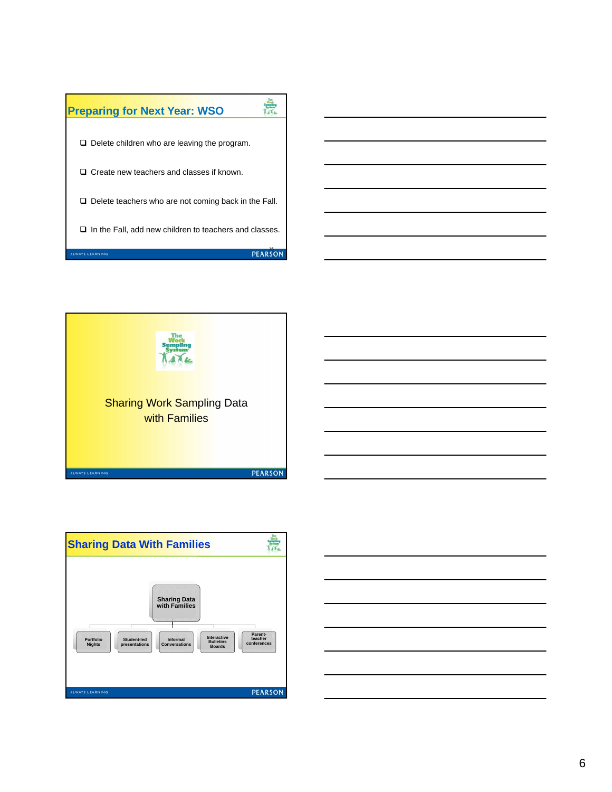